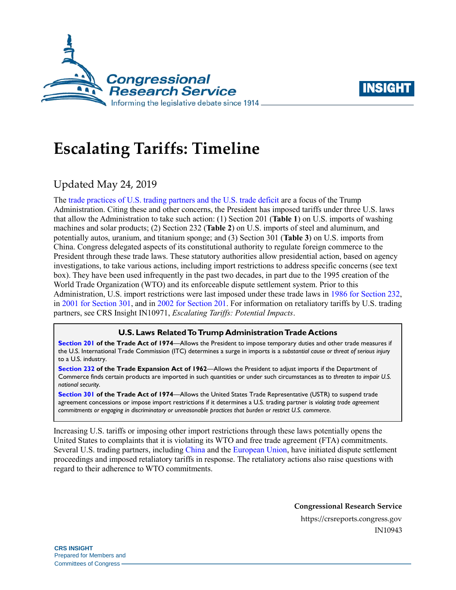



# **Escalating Tariffs: Timeline**

# Updated May 24, 2019

The [trade practices of U.S. trading partners and the](https://www.whitehouse.gov/briefings-statements/press-conference-president-trump-g7-summit/) U.S. trade deficit are a focus of the Trump Administration. Citing these and other concerns, the President has imposed tariffs under three U.S. laws that allow the Administration to take such action: (1) Section 201 (**[Table 1](#page-1-0)**) on U.S. imports of washing machines and solar products; (2) Section 232 (**[Table 2](#page-2-0)**) on U.S. imports of steel and aluminum, and potentially autos, uranium, and titanium sponge; and (3) Section 301 (**[Table 3](#page-3-0)**) on U.S. imports from China. Congress delegated aspects of its constitutional authority to regulate foreign commerce to the President through these trade laws. These statutory authorities allow presidential action, based on agency investigations, to take various actions, including import restrictions to address specific concerns (see text box). They have been used infrequently in the past two decades, in part due to the 1995 creation of the World Trade Organization (WTO) and its enforceable dispute settlement system. Prior to this Administration, U.S. import restrictions were last imposed under these trade laws in 1986 [for Section 232,](https://crsreports.congress.gov/product/pdf/R/R45249#_Ref520293262) in 2001 [for Section 301,](https://ustr.gov/archive/Document_Library/Press_Releases/2005/August/USTR_Lifts_Tariff_Sanctions_Against_Ukraine,_Announces_Out-of-Cycle_Review.html) and in [2002 for Section 201.](https://georgewbush-whitehouse.archives.gov/news/releases/2002/03/20020305-6.html) For information on retaliatory tariffs by U.S. trading partners, see CRS Insight IN10971, *[Escalating Tariffs: Potential Impacts](https://crsreports.congress.gov/product/pdf/IN/IN10971)*.

### **U.S. Laws Related To Trump Administration Trade Actions**

**[Section 201](https://crsreports.congress.gov/product/pdf/IF/IF10786) of the Trade Act of 1974**—Allows the President to impose temporary duties and other trade measures if the U.S. International Trade Commission (ITC) determines a surge in imports is a *substantial cause or threat of serious injury* to a U.S. industry.

**[Section 232](https://crsreports.congress.gov/product/pdf/IF/IF10667) of the Trade Expansion Act of 1962**—Allows the President to adjust imports if the Department of Commerce finds certain products are imported in such quantities or under such circumstances as to *threaten to impair U.S. national security*.

**[Section 301](https://crsreports.congress.gov/product/pdf/IF/IF10708) of the Trade Act of 1974**—Allows the United States Trade Representative (USTR) to suspend trade agreement concessions or impose import restrictions if it determines a U.S. trading partner is *violating trade agreement commitments or engaging in discriminatory or unreasonable practices that burden or restrict U.S. commerce*.

Increasing U.S. tariffs or imposing other import restrictions through these laws potentially opens the United States to complaints that it is violating its WTO and free trade agreement (FTA) commitments. Several U.S. trading partners, including [China](https://docs.wto.org/dol2fe/Pages/FE_Search/FE_S_S009-DP.aspx?language=E&CatalogueIdList=244237&CurrentCatalogueIdIndex=0&FullTextHash=371857150&HasEnglishRecord=True&HasFrenchRecord=True&HasSpanishRecord=True) and the [European Union,](https://docs.wto.org/dol2fe/Pages/FE_Search/FE_S_S009-DP.aspx?language=E&CatalogueIdList=245248,245245,245239,245249,245254,245221,245244,245235,245238,245240&CurrentCatalogueIdIndex=3&FullTextHash=371857150&HasEnglishRecord=True&HasFrenchRecord=False&HasSpanishRecord=False) have initiated dispute settlement proceedings and imposed retaliatory tariffs in response. The retaliatory actions also raise questions with regard to their adherence to WTO commitments.

**Congressional Research Service**

https://crsreports.congress.gov IN10943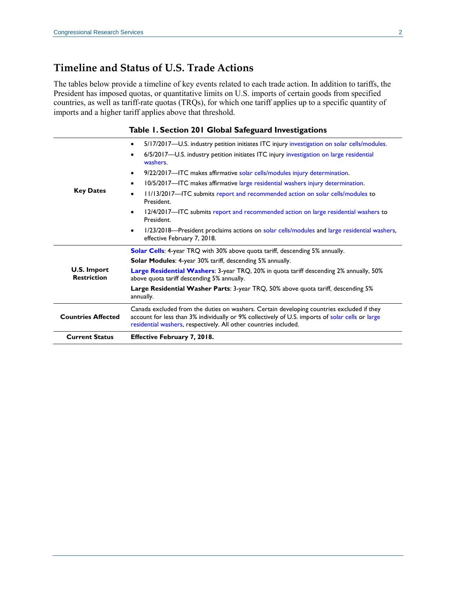# **Timeline and Status of U.S. Trade Actions**

The tables below provide a timeline of key events related to each trade action. In addition to tariffs, the President has imposed quotas, or quantitative limits on U.S. imports of certain goods from specified countries, as well as tariff-rate quotas (TRQs), for which one tariff applies up to a specific quantity of imports and a higher tariff applies above that threshold.

|  |  |  |  |  |  | Table 1. Section 201 Global Safeguard Investigations |
|--|--|--|--|--|--|------------------------------------------------------|
|--|--|--|--|--|--|------------------------------------------------------|

<span id="page-1-0"></span>

|                                   | 5/17/2017-U.S. industry petition initiates ITC injury investigation on solar cells/modules.<br>$\bullet$                                                                                                                                                          |  |  |  |  |
|-----------------------------------|-------------------------------------------------------------------------------------------------------------------------------------------------------------------------------------------------------------------------------------------------------------------|--|--|--|--|
|                                   | 6/5/2017-U.S. industry petition initiates ITC injury investigation on large residential<br>$\bullet$<br>washers.                                                                                                                                                  |  |  |  |  |
|                                   | 9/22/2017—ITC makes affirmative solar cells/modules injury determination.<br>$\bullet$                                                                                                                                                                            |  |  |  |  |
|                                   | 10/5/2017—ITC makes affirmative large residential washers injury determination.<br>$\bullet$                                                                                                                                                                      |  |  |  |  |
| <b>Key Dates</b>                  | 11/13/2017—ITC submits report and recommended action on solar cells/modules to<br>$\bullet$<br>President.                                                                                                                                                         |  |  |  |  |
|                                   | 12/4/2017-ITC submits report and recommended action on large residential washers to<br>$\bullet$<br>President.                                                                                                                                                    |  |  |  |  |
|                                   | 1/23/2018—President proclaims actions on solar cells/modules and large residential washers,<br>$\bullet$<br>effective February 7, 2018.                                                                                                                           |  |  |  |  |
|                                   | Solar Cells: 4-year TRQ with 30% above quota tariff, descending 5% annually.                                                                                                                                                                                      |  |  |  |  |
|                                   | <b>Solar Modules: 4-year 30% tariff, descending 5% annually.</b>                                                                                                                                                                                                  |  |  |  |  |
| U.S. Import<br><b>Restriction</b> | <b>Large Residential Washers:</b> 3-year TRQ, 20% in quota tariff descending 2% annually, 50%<br>above quota tariff descending 5% annually.                                                                                                                       |  |  |  |  |
|                                   | Large Residential Washer Parts: 3-year TRQ, 50% above quota tariff, descending 5%<br>annually.                                                                                                                                                                    |  |  |  |  |
| <b>Countries Affected</b>         | Canada excluded from the duties on washers. Certain developing countries excluded if they<br>account for less than 3% individually or 9% collectively of U.S. imports of solar cells or large<br>residential washers, respectively. All other countries included. |  |  |  |  |
| <b>Current Status</b>             | <b>Effective February 7, 2018.</b>                                                                                                                                                                                                                                |  |  |  |  |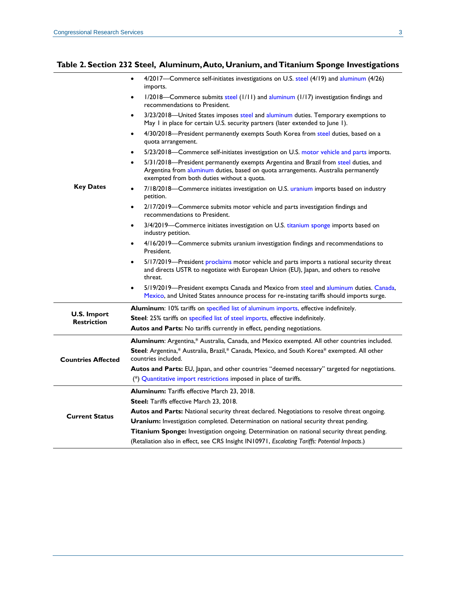#### <span id="page-2-0"></span>**Table 2. Section 232 Steel, Aluminum, Auto, Uranium, and Titanium Sponge Investigations**

|                                   | 4/2017—Commerce self-initiates investigations on U.S. steel (4/19) and aluminum (4/26)<br>imports.                                                                                                                                   |  |  |  |  |
|-----------------------------------|--------------------------------------------------------------------------------------------------------------------------------------------------------------------------------------------------------------------------------------|--|--|--|--|
|                                   | 1/2018—Commerce submits steel (1/11) and aluminum (1/17) investigation findings and<br>$\bullet$<br>recommendations to President.                                                                                                    |  |  |  |  |
|                                   | 3/23/2018—United States imposes steel and aluminum duties. Temporary exemptions to<br>$\bullet$<br>May I in place for certain U.S. security partners (later extended to June 1).                                                     |  |  |  |  |
|                                   | 4/30/2018-President permanently exempts South Korea from steel duties, based on a<br>$\bullet$<br>quota arrangement.                                                                                                                 |  |  |  |  |
|                                   | 5/23/2018—Commerce self-initiates investigation on U.S. motor vehicle and parts imports.<br>$\bullet$                                                                                                                                |  |  |  |  |
|                                   | 5/31/2018-President permanently exempts Argentina and Brazil from steel duties, and<br>$\bullet$<br>Argentina from aluminum duties, based on quota arrangements. Australia permanently<br>exempted from both duties without a quota. |  |  |  |  |
| <b>Key Dates</b>                  | 7/18/2018-Commerce initiates investigation on U.S. uranium imports based on industry<br>$\bullet$<br>petition.                                                                                                                       |  |  |  |  |
|                                   | 2/17/2019—Commerce submits motor vehicle and parts investigation findings and<br>$\bullet$<br>recommendations to President.                                                                                                          |  |  |  |  |
|                                   | 3/4/2019—Commerce initiates investigation on U.S. titanium sponge imports based on<br>$\bullet$<br>industry petition.                                                                                                                |  |  |  |  |
|                                   | 4/16/2019—Commerce submits uranium investigation findings and recommendations to<br>٠<br>President.                                                                                                                                  |  |  |  |  |
|                                   | 5/17/2019—President proclaims motor vehicle and parts imports a national security threat<br>$\bullet$<br>and directs USTR to negotiate with European Union (EU), Japan, and others to resolve<br>threat.                             |  |  |  |  |
|                                   | 5/19/2019—President exempts Canada and Mexico from steel and aluminum duties. Canada,<br>Mexico, and United States announce process for re-instating tariffs should imports surge.                                                   |  |  |  |  |
|                                   | <b>Aluminum:</b> 10% tariffs on specified list of aluminum imports, effective indefinitely.                                                                                                                                          |  |  |  |  |
| U.S. Import<br><b>Restriction</b> | Steel: 25% tariffs on specified list of steel imports, effective indefinitely.                                                                                                                                                       |  |  |  |  |
|                                   | Autos and Parts: No tariffs currently in effect, pending negotiations.                                                                                                                                                               |  |  |  |  |
|                                   | Aluminum: Argentina,* Australia, Canada, and Mexico exempted. All other countries included.                                                                                                                                          |  |  |  |  |
| <b>Countries Affected</b>         | Steel: Argentina,* Australia, Brazil,* Canada, Mexico, and South Korea* exempted. All other<br>countries included.                                                                                                                   |  |  |  |  |
|                                   | Autos and Parts: EU, Japan, and other countries "deemed necessary" targeted for negotiations.                                                                                                                                        |  |  |  |  |
|                                   | $(*)$ Quantitative import restrictions imposed in place of tariffs.                                                                                                                                                                  |  |  |  |  |
|                                   | <b>Aluminum:</b> Tariffs effective March 23, 2018.                                                                                                                                                                                   |  |  |  |  |
|                                   | <b>Steel:</b> Tariffs effective March 23, 2018.                                                                                                                                                                                      |  |  |  |  |
| <b>Current Status</b>             | Autos and Parts: National security threat declared. Negotiations to resolve threat ongoing.                                                                                                                                          |  |  |  |  |
|                                   | Uranium: Investigation completed. Determination on national security threat pending.                                                                                                                                                 |  |  |  |  |
|                                   | Titanium Sponge: Investigation ongoing. Determination on national security threat pending.                                                                                                                                           |  |  |  |  |
|                                   | (Retaliation also in effect, see CRS Insight IN10971, Escalating Tariffs: Potential Impacts.)                                                                                                                                        |  |  |  |  |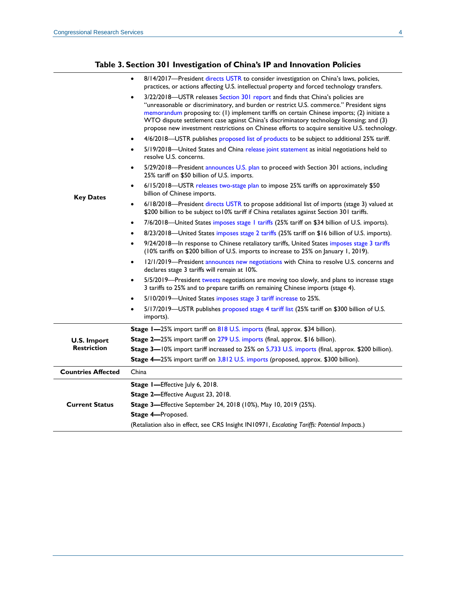### **Table 3. Section 301 Investigation of China's IP and Innovation Policies**

<span id="page-3-0"></span>

|                           | 8/14/2017—President directs USTR to consider investigation on China's laws, policies,<br>$\bullet$<br>practices, or actions affecting U.S. intellectual property and forced technology transfers.                                                                                                                                                                                                                                                                  |  |  |  |  |
|---------------------------|--------------------------------------------------------------------------------------------------------------------------------------------------------------------------------------------------------------------------------------------------------------------------------------------------------------------------------------------------------------------------------------------------------------------------------------------------------------------|--|--|--|--|
|                           | 3/22/2018-USTR releases Section 301 report and finds that China's policies are<br>"unreasonable or discriminatory, and burden or restrict U.S. commerce." President signs<br>memorandum proposing to: (1) implement tariffs on certain Chinese imports; (2) initiate a<br>WTO dispute settlement case against China's discriminatory technology licensing; and (3)<br>propose new investment restrictions on Chinese efforts to acquire sensitive U.S. technology. |  |  |  |  |
|                           | 4/6/2018-USTR publishes proposed list of products to be subject to additional 25% tariff.<br>$\bullet$                                                                                                                                                                                                                                                                                                                                                             |  |  |  |  |
|                           | 5/19/2018-United States and China release joint statement as initial negotiations held to<br>$\bullet$<br>resolve U.S. concerns.                                                                                                                                                                                                                                                                                                                                   |  |  |  |  |
|                           | 5/29/2018—President announces U.S. plan to proceed with Section 301 actions, including<br>25% tariff on \$50 billion of U.S. imports.                                                                                                                                                                                                                                                                                                                              |  |  |  |  |
| <b>Key Dates</b>          | 6/15/2018-USTR releases two-stage plan to impose 25% tariffs on approximately \$50<br>$\bullet$<br>billion of Chinese imports.                                                                                                                                                                                                                                                                                                                                     |  |  |  |  |
|                           | 6/18/2018—President directs USTR to propose additional list of imports (stage 3) valued at<br>$\bullet$<br>\$200 billion to be subject to 10% tariff if China retaliates against Section 301 tariffs.                                                                                                                                                                                                                                                              |  |  |  |  |
|                           | 7/6/2018—United States imposes stage 1 tariffs (25% tariff on \$34 billion of U.S. imports).<br>$\bullet$                                                                                                                                                                                                                                                                                                                                                          |  |  |  |  |
|                           | 8/23/2018—United States imposes stage 2 tariffs (25% tariff on \$16 billion of U.S. imports).<br>$\bullet$                                                                                                                                                                                                                                                                                                                                                         |  |  |  |  |
|                           | 9/24/2018-In response to Chinese retaliatory tariffs, United States imposes stage 3 tariffs<br>$\bullet$<br>(10% tariffs on \$200 billion of U.S. imports to increase to 25% on January 1, 2019).                                                                                                                                                                                                                                                                  |  |  |  |  |
|                           | 12/1/2019—President announces new negotiations with China to resolve U.S. concerns and<br>$\bullet$<br>declares stage 3 tariffs will remain at 10%.                                                                                                                                                                                                                                                                                                                |  |  |  |  |
|                           | 5/5/2019—President tweets negotiations are moving too slowly, and plans to increase stage<br>$\bullet$<br>3 tariffs to 25% and to prepare tariffs on remaining Chinese imports (stage 4).                                                                                                                                                                                                                                                                          |  |  |  |  |
|                           | 5/10/2019—United States imposes stage 3 tariff increase to 25%.<br>$\bullet$                                                                                                                                                                                                                                                                                                                                                                                       |  |  |  |  |
|                           | 5/17/2019-USTR publishes proposed stage 4 tariff list (25% tariff on \$300 billion of U.S.<br>$\bullet$<br>imports).                                                                                                                                                                                                                                                                                                                                               |  |  |  |  |
|                           | Stage I-25% import tariff on 818 U.S. imports (final, approx. \$34 billion).                                                                                                                                                                                                                                                                                                                                                                                       |  |  |  |  |
| <b>U.S. Import</b>        | Stage 2-25% import tariff on 279 U.S. imports (final, approx. \$16 billion).                                                                                                                                                                                                                                                                                                                                                                                       |  |  |  |  |
| <b>Restriction</b>        | Stage 3-10% import tariff increased to 25% on 5,733 U.S. imports (final, approx. \$200 billion).                                                                                                                                                                                                                                                                                                                                                                   |  |  |  |  |
|                           | Stage 4-25% import tariff on 3,812 U.S. imports (proposed, approx. \$300 billion).                                                                                                                                                                                                                                                                                                                                                                                 |  |  |  |  |
| <b>Countries Affected</b> | China                                                                                                                                                                                                                                                                                                                                                                                                                                                              |  |  |  |  |
|                           | Stage I-Effective July 6, 2018.                                                                                                                                                                                                                                                                                                                                                                                                                                    |  |  |  |  |
|                           | Stage 2-Effective August 23, 2018.                                                                                                                                                                                                                                                                                                                                                                                                                                 |  |  |  |  |
| <b>Current Status</b>     | Stage 3-Effective September 24, 2018 (10%), May 10, 2019 (25%).                                                                                                                                                                                                                                                                                                                                                                                                    |  |  |  |  |
|                           | Stage 4-Proposed.                                                                                                                                                                                                                                                                                                                                                                                                                                                  |  |  |  |  |
|                           | (Retaliation also in effect, see CRS Insight IN10971, Escalating Tariffs: Potential Impacts.)                                                                                                                                                                                                                                                                                                                                                                      |  |  |  |  |